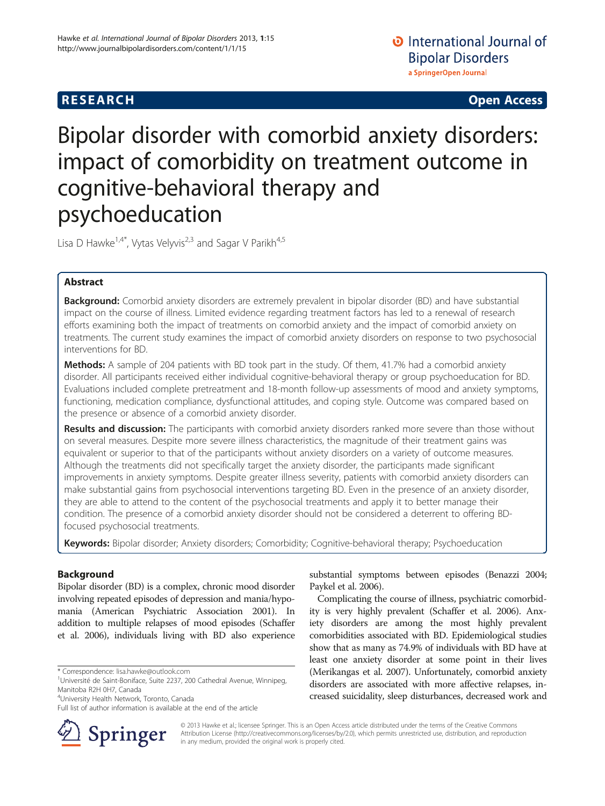**RESEARCH CHINESE ARCH CHINESE ARCH CHINESE ARCH <b>CHINESE ARCH** 

# Bipolar disorder with comorbid anxiety disorders: impact of comorbidity on treatment outcome in cognitive-behavioral therapy and psychoeducation

Lisa D Hawke<sup>1,4\*</sup>, Vytas Velyvis<sup>2,3</sup> and Sagar V Parikh<sup>4,5</sup>

# Abstract

**Background:** Comorbid anxiety disorders are extremely prevalent in bipolar disorder (BD) and have substantial impact on the course of illness. Limited evidence regarding treatment factors has led to a renewal of research efforts examining both the impact of treatments on comorbid anxiety and the impact of comorbid anxiety on treatments. The current study examines the impact of comorbid anxiety disorders on response to two psychosocial interventions for BD.

**Methods:** A sample of 204 patients with BD took part in the study. Of them, 41.7% had a comorbid anxiety disorder. All participants received either individual cognitive-behavioral therapy or group psychoeducation for BD. Evaluations included complete pretreatment and 18-month follow-up assessments of mood and anxiety symptoms, functioning, medication compliance, dysfunctional attitudes, and coping style. Outcome was compared based on the presence or absence of a comorbid anxiety disorder.

Results and discussion: The participants with comorbid anxiety disorders ranked more severe than those without on several measures. Despite more severe illness characteristics, the magnitude of their treatment gains was equivalent or superior to that of the participants without anxiety disorders on a variety of outcome measures. Although the treatments did not specifically target the anxiety disorder, the participants made significant improvements in anxiety symptoms. Despite greater illness severity, patients with comorbid anxiety disorders can make substantial gains from psychosocial interventions targeting BD. Even in the presence of an anxiety disorder, they are able to attend to the content of the psychosocial treatments and apply it to better manage their condition. The presence of a comorbid anxiety disorder should not be considered a deterrent to offering BDfocused psychosocial treatments.

Keywords: Bipolar disorder; Anxiety disorders; Comorbidity; Cognitive-behavioral therapy; Psychoeducation

# Background

Bipolar disorder (BD) is a complex, chronic mood disorder involving repeated episodes of depression and mania/hypomania (American Psychiatric Association [2001\)](#page-5-0). In addition to multiple relapses of mood episodes (Schaffer et al. [2006](#page-5-0)), individuals living with BD also experience

\* Correspondence: [lisa.hawke@outlook.com](mailto:lisa.hawke@outlook.com) <sup>1</sup>

4 University Health Network, Toronto, Canada

Full list of author information is available at the end of the article



substantial symptoms between episodes (Benazzi [2004](#page-5-0); Paykel et al. [2006\)](#page-5-0).

Complicating the course of illness, psychiatric comorbidity is very highly prevalent (Schaffer et al. [2006](#page-5-0)). Anxiety disorders are among the most highly prevalent comorbidities associated with BD. Epidemiological studies show that as many as 74.9% of individuals with BD have at least one anxiety disorder at some point in their lives (Merikangas et al. [2007](#page-5-0)). Unfortunately, comorbid anxiety disorders are associated with more affective relapses, increased suicidality, sleep disturbances, decreased work and

© 2013 Hawke et al.; licensee Springer. This is an Open Access article distributed under the terms of the Creative Commons Attribution License [\(http://creativecommons.org/licenses/by/2.0\)](http://creativecommons.org/licenses/by/2.0), which permits unrestricted use, distribution, and reproduction in any medium, provided the original work is properly cited.

<sup>&</sup>lt;sup>1</sup>Université de Saint-Boniface, Suite 2237, 200 Cathedral Avenue, Winnipeg, Manitoba R2H 0H7, Canada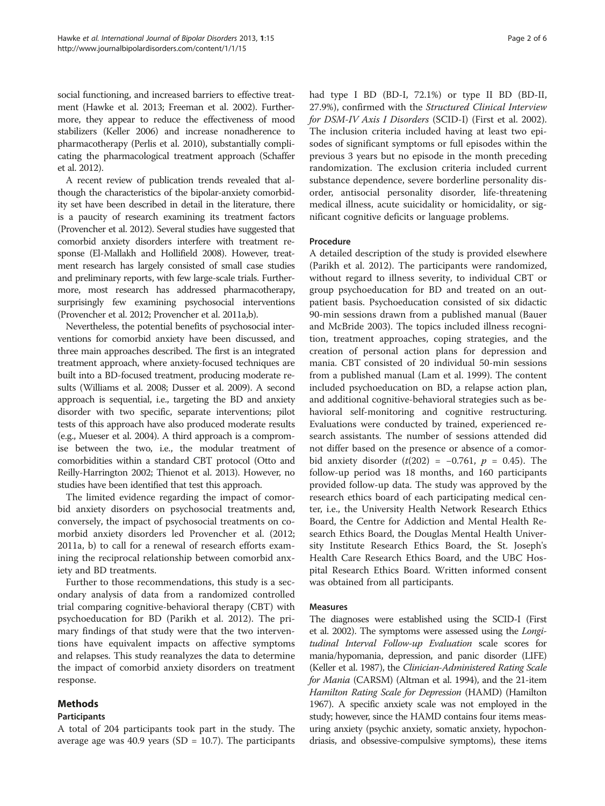social functioning, and increased barriers to effective treatment (Hawke et al. [2013;](#page-5-0) Freeman et al. [2002](#page-5-0)). Furthermore, they appear to reduce the effectiveness of mood stabilizers (Keller [2006\)](#page-5-0) and increase nonadherence to pharmacotherapy (Perlis et al. [2010](#page-5-0)), substantially complicating the pharmacological treatment approach (Schaffer et al. [2012\)](#page-5-0).

A recent review of publication trends revealed that although the characteristics of the bipolar-anxiety comorbidity set have been described in detail in the literature, there is a paucity of research examining its treatment factors (Provencher et al. [2012\)](#page-5-0). Several studies have suggested that comorbid anxiety disorders interfere with treatment response (El-Mallakh and Hollifield [2008](#page-5-0)). However, treatment research has largely consisted of small case studies and preliminary reports, with few large-scale trials. Furthermore, most research has addressed pharmacotherapy, surprisingly few examining psychosocial interventions (Provencher et al. [2012;](#page-5-0) Provencher et al. [2011a,b](#page-5-0)).

Nevertheless, the potential benefits of psychosocial interventions for comorbid anxiety have been discussed, and three main approaches described. The first is an integrated treatment approach, where anxiety-focused techniques are built into a BD-focused treatment, producing moderate results (Williams et al. [2008](#page-5-0); Dusser et al. [2009](#page-5-0)). A second approach is sequential, i.e., targeting the BD and anxiety disorder with two specific, separate interventions; pilot tests of this approach have also produced moderate results (e.g., Mueser et al. [2004\)](#page-5-0). A third approach is a compromise between the two, i.e., the modular treatment of comorbidities within a standard CBT protocol (Otto and Reilly-Harrington [2002;](#page-5-0) Thienot et al. [2013](#page-5-0)). However, no studies have been identified that test this approach.

The limited evidence regarding the impact of comorbid anxiety disorders on psychosocial treatments and, conversely, the impact of psychosocial treatments on comorbid anxiety disorders led Provencher et al. ([2012](#page-5-0); 2011a, b) to call for a renewal of research efforts examining the reciprocal relationship between comorbid anxiety and BD treatments.

Further to those recommendations, this study is a secondary analysis of data from a randomized controlled trial comparing cognitive-behavioral therapy (CBT) with psychoeducation for BD (Parikh et al. [2012](#page-5-0)). The primary findings of that study were that the two interventions have equivalent impacts on affective symptoms and relapses. This study reanalyzes the data to determine the impact of comorbid anxiety disorders on treatment response.

# Methods

# Participants

had type I BD (BD-I, 72.1%) or type II BD (BD-II, 27.9%), confirmed with the Structured Clinical Interview for DSM-IV Axis I Disorders (SCID-I) (First et al. [2002](#page-5-0)). The inclusion criteria included having at least two episodes of significant symptoms or full episodes within the previous 3 years but no episode in the month preceding randomization. The exclusion criteria included current substance dependence, severe borderline personality disorder, antisocial personality disorder, life-threatening medical illness, acute suicidality or homicidality, or significant cognitive deficits or language problems.

# Procedure

A detailed description of the study is provided elsewhere (Parikh et al. [2012\)](#page-5-0). The participants were randomized, without regard to illness severity, to individual CBT or group psychoeducation for BD and treated on an outpatient basis. Psychoeducation consisted of six didactic 90-min sessions drawn from a published manual (Bauer and McBride [2003](#page-5-0)). The topics included illness recognition, treatment approaches, coping strategies, and the creation of personal action plans for depression and mania. CBT consisted of 20 individual 50-min sessions from a published manual (Lam et al. [1999](#page-5-0)). The content included psychoeducation on BD, a relapse action plan, and additional cognitive-behavioral strategies such as behavioral self-monitoring and cognitive restructuring. Evaluations were conducted by trained, experienced research assistants. The number of sessions attended did not differ based on the presence or absence of a comorbid anxiety disorder  $(t(202) = -0.761, p = 0.45)$ . The follow-up period was 18 months, and 160 participants provided follow-up data. The study was approved by the research ethics board of each participating medical center, i.e., the University Health Network Research Ethics Board, the Centre for Addiction and Mental Health Research Ethics Board, the Douglas Mental Health University Institute Research Ethics Board, the St. Joseph's Health Care Research Ethics Board, and the UBC Hospital Research Ethics Board. Written informed consent was obtained from all participants.

# Measures

The diagnoses were established using the SCID-I (First et al. [2002](#page-5-0)). The symptoms were assessed using the Longitudinal Interval Follow-up Evaluation scale scores for mania/hypomania, depression, and panic disorder (LIFE) (Keller et al. [1987\)](#page-5-0), the Clinician-Administered Rating Scale for Mania (CARSM) (Altman et al. [1994\)](#page-5-0), and the 21-item Hamilton Rating Scale for Depression (HAMD) (Hamilton [1967\)](#page-5-0). A specific anxiety scale was not employed in the study; however, since the HAMD contains four items measuring anxiety (psychic anxiety, somatic anxiety, hypochondriasis, and obsessive-compulsive symptoms), these items

A total of 204 participants took part in the study. The average age was 40.9 years (SD =  $10.7$ ). The participants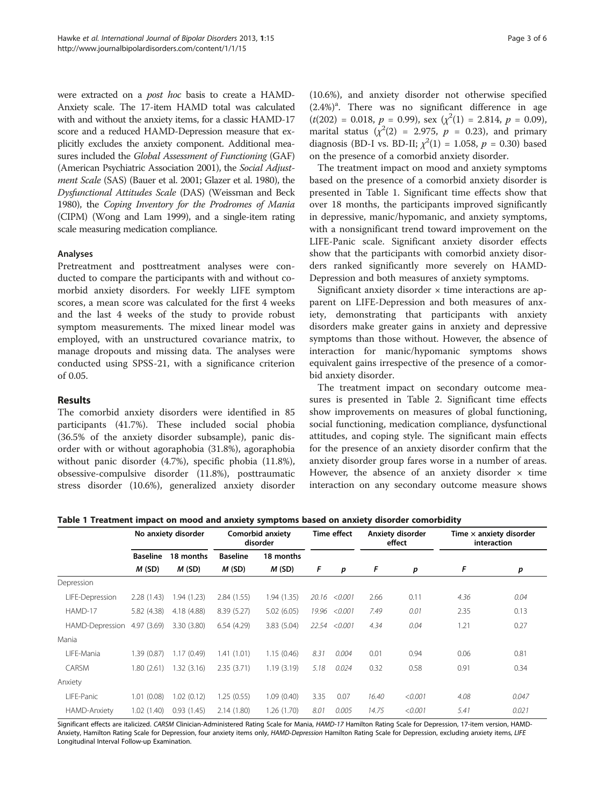were extracted on a post hoc basis to create a HAMD-Anxiety scale. The 17-item HAMD total was calculated with and without the anxiety items, for a classic HAMD-17 score and a reduced HAMD-Depression measure that explicitly excludes the anxiety component. Additional measures included the Global Assessment of Functioning (GAF) (American Psychiatric Association [2001\)](#page-5-0), the Social Adjustment Scale (SAS) (Bauer et al. [2001;](#page-5-0) Glazer et al. [1980](#page-5-0)), the Dysfunctional Attitudes Scale (DAS) (Weissman and Beck [1980\)](#page-5-0), the Coping Inventory for the Prodromes of Mania (CIPM) (Wong and Lam [1999\)](#page-5-0), and a single-item rating scale measuring medication compliance.

### Analyses

Pretreatment and posttreatment analyses were conducted to compare the participants with and without comorbid anxiety disorders. For weekly LIFE symptom scores, a mean score was calculated for the first 4 weeks and the last 4 weeks of the study to provide robust symptom measurements. The mixed linear model was employed, with an unstructured covariance matrix, to manage dropouts and missing data. The analyses were conducted using SPSS-21, with a significance criterion of 0.05.

# Results

The comorbid anxiety disorders were identified in 85 participants (41.7%). These included social phobia (36.5% of the anxiety disorder subsample), panic disorder with or without agoraphobia (31.8%), agoraphobia without panic disorder (4.7%), specific phobia (11.8%), obsessive-compulsive disorder (11.8%), posttraumatic stress disorder (10.6%), generalized anxiety disorder (10.6%), and anxiety disorder not otherwise specified  $(2.4%)<sup>a</sup>$ . There was no significant difference in age  $(t(202) = 0.018, p = 0.99)$ , sex  $(\chi^2(1) = 2.814, p = 0.09)$ , marital status  $(\chi^2(2) = 2.975, p = 0.23)$ , and primary diagnosis (BD-I vs. BD-II;  $\chi^2(1) = 1.058$ ,  $p = 0.30$ ) based on the presence of a comorbid anxiety disorder.

The treatment impact on mood and anxiety symptoms based on the presence of a comorbid anxiety disorder is presented in Table 1. Significant time effects show that over 18 months, the participants improved significantly in depressive, manic/hypomanic, and anxiety symptoms, with a nonsignificant trend toward improvement on the LIFE-Panic scale. Significant anxiety disorder effects show that the participants with comorbid anxiety disorders ranked significantly more severely on HAMD-Depression and both measures of anxiety symptoms.

Significant anxiety disorder  $\times$  time interactions are apparent on LIFE-Depression and both measures of anxiety, demonstrating that participants with anxiety disorders make greater gains in anxiety and depressive symptoms than those without. However, the absence of interaction for manic/hypomanic symptoms shows equivalent gains irrespective of the presence of a comorbid anxiety disorder.

The treatment impact on secondary outcome measures is presented in Table [2](#page-3-0). Significant time effects show improvements on measures of global functioning, social functioning, medication compliance, dysfunctional attitudes, and coping style. The significant main effects for the presence of an anxiety disorder confirm that the anxiety disorder group fares worse in a number of areas. However, the absence of an anxiety disorder  $\times$  time interaction on any secondary outcome measure shows

Table 1 Treatment impact on mood and anxiety symptoms based on anxiety disorder comorbidity

|                 | No anxiety disorder |             | Comorbid anxiety<br>disorder |             | <b>Time effect</b> |         | Anxiety disorder<br>effect |         | Time $\times$ anxiety disorder<br>interaction |       |
|-----------------|---------------------|-------------|------------------------------|-------------|--------------------|---------|----------------------------|---------|-----------------------------------------------|-------|
|                 | <b>Baseline</b>     | 18 months   | <b>Baseline</b>              | 18 months   |                    |         |                            |         |                                               |       |
|                 | M(SD)               | M(SD)       | M(SD)                        | M(SD)       | F                  | p       | F                          | p       | F                                             | p     |
| Depression      |                     |             |                              |             |                    |         |                            |         |                                               |       |
| LIFE-Depression | 2.28(1.43)          | 1.94 (1.23) | 2.84(1.55)                   | 1.94 (1.35) | 20.16              | < 0.001 | 2.66                       | 0.11    | 4.36                                          | 0.04  |
| HAMD-17         | 5.82 (4.38)         | 4.18 (4.88) | 8.39(5.27)                   | 5.02(6.05)  | 19.96              | < 0.001 | 7.49                       | 0.01    | 2.35                                          | 0.13  |
| HAMD-Depression | 4.97 (3.69)         | 3.30 (3.80) | 6.54(4.29)                   | 3.83 (5.04) | 22.54              | < 0.001 | 4.34                       | 0.04    | 1.21                                          | 0.27  |
| Mania           |                     |             |                              |             |                    |         |                            |         |                                               |       |
| LIFE-Mania      | 1.39 (0.87)         | 1.17(0.49)  | 1.41(1.01)                   | 1.15(0.46)  | 8.31               | 0.004   | 0.01                       | 0.94    | 0.06                                          | 0.81  |
| CARSM           | 1.80(2.61)          | 1.32 (3.16) | 2.35(3.71)                   | 1.19(3.19)  | 5.18               | 0.024   | 0.32                       | 0.58    | 0.91                                          | 0.34  |
| Anxiety         |                     |             |                              |             |                    |         |                            |         |                                               |       |
| LIFE-Panic      | 1.01(0.08)          | 1.02(0.12)  | 1.25(0.55)                   | 1.09(0.40)  | 3.35               | 0.07    | 16.40                      | < 0.001 | 4.08                                          | 0.047 |
| HAMD-Anxiety    | 1.02(1.40)          | 0.93(1.45)  | 2.14(1.80)                   | 1.26 (1.70) | 8.01               | 0.005   | 14.75                      | < 0.001 | 5.41                                          | 0.021 |

Significant effects are italicized. CARSM Clinician-Administered Rating Scale for Mania, HAMD-17 Hamilton Rating Scale for Depression, 17-item version, HAMD-Anxiety, Hamilton Rating Scale for Depression, four anxiety items only, HAMD-Depression Hamilton Rating Scale for Depression, excluding anxiety items, LIFE Longitudinal Interval Follow-up Examination.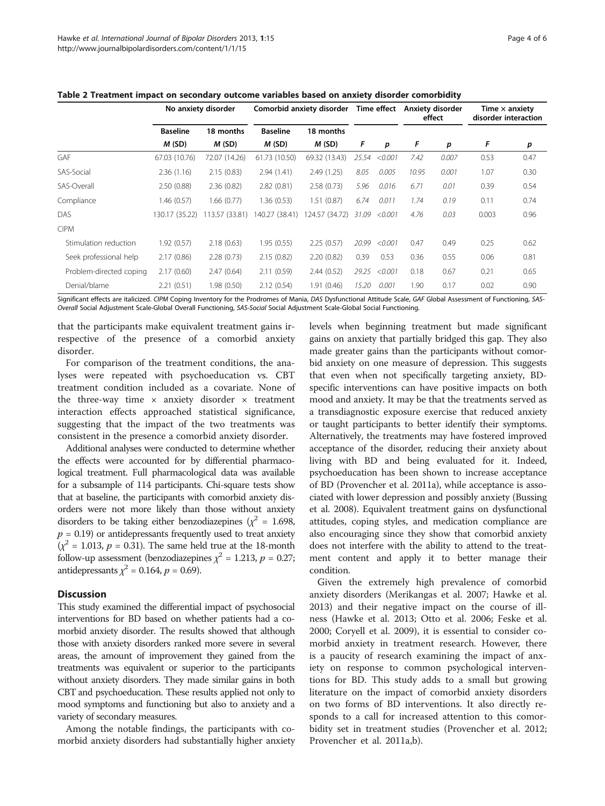|                         | No anxiety disorder |                | Comorbid anxiety disorder | Time effect    |       | Anxiety disorder<br>effect |       | Time $\times$ anxiety<br>disorder interaction |       |      |
|-------------------------|---------------------|----------------|---------------------------|----------------|-------|----------------------------|-------|-----------------------------------------------|-------|------|
|                         | <b>Baseline</b>     | 18 months      | <b>Baseline</b>           | 18 months      |       |                            |       |                                               |       |      |
|                         | M(SD)               | M(SD)          | M(SD)                     | M(SD)          | F     | p                          | F     | p                                             | F     | p    |
| <b>GAF</b>              | 67.03 (10.76)       | 72.07 (14.26)  | 61.73 (10.50)             | 69.32 (13.43)  | 25.54 | < 0.001                    | 7.42  | 0.007                                         | 0.53  | 0.47 |
| SAS-Social              | 2.36(1.16)          | 2.15(0.83)     | 2.94(1.41)                | 2.49(1.25)     | 8.05  | 0.005                      | 10.95 | 0.001                                         | 1.07  | 0.30 |
| SAS-Overall             | 2.50(0.88)          | 2.36(0.82)     | 2.82(0.81)                | 2.58(0.73)     | 5.96  | 0.016                      | 6.71  | 0.01                                          | 0.39  | 0.54 |
| Compliance              | 1.46 (0.57)         | 1.66 (0.77)    | 1.36(0.53)                | 1.51(0.87)     | 6.74  | 0.011                      | 1.74  | 0.19                                          | 0.11  | 0.74 |
| DAS                     | 130.17 (35.22)      | 113.57 (33.81) | 140.27 (38.41)            | 124.57 (34.72) | 31.09 | < 0.001                    | 4.76  | 0.03                                          | 0.003 | 0.96 |
| <b>CIPM</b>             |                     |                |                           |                |       |                            |       |                                               |       |      |
| Stimulation reduction   | 1.92(0.57)          | 2.18(0.63)     | 1.95(0.55)                | 2.25(0.57)     | 20.99 | < 0.001                    | 0.47  | 0.49                                          | 0.25  | 0.62 |
| Seek professional help  | 2.17(0.86)          | 2.28(0.73)     | 2.15(0.82)                | 2.20(0.82)     | 0.39  | 0.53                       | 0.36  | 0.55                                          | 0.06  | 0.81 |
| Problem-directed coping | 2.17(0.60)          | 2.47(0.64)     | 2.11(0.59)                | 2.44(0.52)     | 29.25 | < 0.001                    | 0.18  | 0.67                                          | 0.21  | 0.65 |
| Denial/blame            | 2.21(0.51)          | 1.98(0.50)     | 2.12(0.54)                | 1.91(0.46)     | 15.20 | 0.001                      | 1.90  | 0.17                                          | 0.02  | 0.90 |

<span id="page-3-0"></span>Table 2 Treatment impact on secondary outcome variables based on anxiety disorder comorbidity

Significant effects are italicized. CIPM Coping Inventory for the Prodromes of Mania, DAS Dysfunctional Attitude Scale, GAF Global Assessment of Functioning, SAS-Overall Social Adjustment Scale-Global Overall Functioning, SAS-Social Social Adjustment Scale-Global Social Functioning.

that the participants make equivalent treatment gains irrespective of the presence of a comorbid anxiety disorder.

For comparison of the treatment conditions, the analyses were repeated with psychoeducation vs. CBT treatment condition included as a covariate. None of the three-way time  $\times$  anxiety disorder  $\times$  treatment interaction effects approached statistical significance, suggesting that the impact of the two treatments was consistent in the presence a comorbid anxiety disorder.

Additional analyses were conducted to determine whether the effects were accounted for by differential pharmacological treatment. Full pharmacological data was available for a subsample of 114 participants. Chi-square tests show that at baseline, the participants with comorbid anxiety disorders were not more likely than those without anxiety disorders to be taking either benzodiazepines ( $\chi^2 = 1.698$ ,  $p = 0.19$ ) or antidepressants frequently used to treat anxiety  $(\chi^2 = 1.013, p = 0.31)$ . The same held true at the 18-month follow-up assessment (benzodiazepines  $\chi^2 = 1.213$ ,  $p = 0.27$ ; antidepressants  $\chi^2$  = 0.164,  $p$  = 0.69).

# **Discussion**

This study examined the differential impact of psychosocial interventions for BD based on whether patients had a comorbid anxiety disorder. The results showed that although those with anxiety disorders ranked more severe in several areas, the amount of improvement they gained from the treatments was equivalent or superior to the participants without anxiety disorders. They made similar gains in both CBT and psychoeducation. These results applied not only to mood symptoms and functioning but also to anxiety and a variety of secondary measures.

Among the notable findings, the participants with comorbid anxiety disorders had substantially higher anxiety

levels when beginning treatment but made significant gains on anxiety that partially bridged this gap. They also made greater gains than the participants without comorbid anxiety on one measure of depression. This suggests that even when not specifically targeting anxiety, BDspecific interventions can have positive impacts on both mood and anxiety. It may be that the treatments served as a transdiagnostic exposure exercise that reduced anxiety or taught participants to better identify their symptoms. Alternatively, the treatments may have fostered improved acceptance of the disorder, reducing their anxiety about living with BD and being evaluated for it. Indeed, psychoeducation has been shown to increase acceptance of BD (Provencher et al. [2011a](#page-5-0)), while acceptance is associated with lower depression and possibly anxiety (Bussing et al. [2008](#page-5-0)). Equivalent treatment gains on dysfunctional attitudes, coping styles, and medication compliance are also encouraging since they show that comorbid anxiety does not interfere with the ability to attend to the treatment content and apply it to better manage their condition.

Given the extremely high prevalence of comorbid anxiety disorders (Merikangas et al. [2007](#page-5-0); Hawke et al. [2013](#page-5-0)) and their negative impact on the course of illness (Hawke et al. [2013;](#page-5-0) Otto et al. [2006;](#page-5-0) Feske et al. [2000](#page-5-0); Coryell et al. [2009\)](#page-5-0), it is essential to consider comorbid anxiety in treatment research. However, there is a paucity of research examining the impact of anxiety on response to common psychological interventions for BD. This study adds to a small but growing literature on the impact of comorbid anxiety disorders on two forms of BD interventions. It also directly responds to a call for increased attention to this comorbidity set in treatment studies (Provencher et al. [2012](#page-5-0); Provencher et al. [2011a,b](#page-5-0)).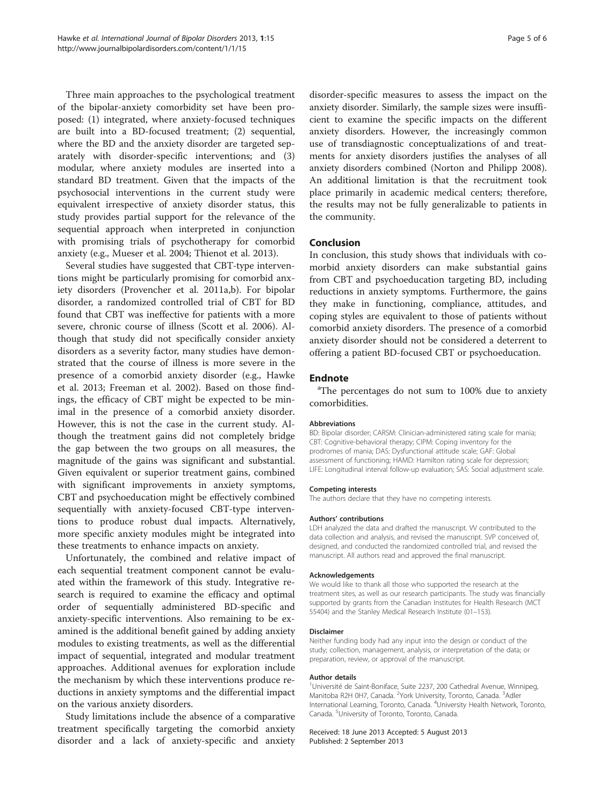Three main approaches to the psychological treatment of the bipolar-anxiety comorbidity set have been proposed: (1) integrated, where anxiety-focused techniques are built into a BD-focused treatment; (2) sequential, where the BD and the anxiety disorder are targeted separately with disorder-specific interventions; and (3) modular, where anxiety modules are inserted into a standard BD treatment. Given that the impacts of the psychosocial interventions in the current study were equivalent irrespective of anxiety disorder status, this study provides partial support for the relevance of the sequential approach when interpreted in conjunction with promising trials of psychotherapy for comorbid anxiety (e.g., Mueser et al. [2004](#page-5-0); Thienot et al. [2013\)](#page-5-0).

Several studies have suggested that CBT-type interventions might be particularly promising for comorbid anxiety disorders (Provencher et al. [2011a,b](#page-5-0)). For bipolar disorder, a randomized controlled trial of CBT for BD found that CBT was ineffective for patients with a more severe, chronic course of illness (Scott et al. [2006](#page-5-0)). Although that study did not specifically consider anxiety disorders as a severity factor, many studies have demonstrated that the course of illness is more severe in the presence of a comorbid anxiety disorder (e.g., Hawke et al. [2013](#page-5-0); Freeman et al. [2002](#page-5-0)). Based on those findings, the efficacy of CBT might be expected to be minimal in the presence of a comorbid anxiety disorder. However, this is not the case in the current study. Although the treatment gains did not completely bridge the gap between the two groups on all measures, the magnitude of the gains was significant and substantial. Given equivalent or superior treatment gains, combined with significant improvements in anxiety symptoms, CBT and psychoeducation might be effectively combined sequentially with anxiety-focused CBT-type interventions to produce robust dual impacts. Alternatively, more specific anxiety modules might be integrated into these treatments to enhance impacts on anxiety.

Unfortunately, the combined and relative impact of each sequential treatment component cannot be evaluated within the framework of this study. Integrative research is required to examine the efficacy and optimal order of sequentially administered BD-specific and anxiety-specific interventions. Also remaining to be examined is the additional benefit gained by adding anxiety modules to existing treatments, as well as the differential impact of sequential, integrated and modular treatment approaches. Additional avenues for exploration include the mechanism by which these interventions produce reductions in anxiety symptoms and the differential impact on the various anxiety disorders.

Study limitations include the absence of a comparative treatment specifically targeting the comorbid anxiety disorder and a lack of anxiety-specific and anxiety disorder-specific measures to assess the impact on the anxiety disorder. Similarly, the sample sizes were insufficient to examine the specific impacts on the different anxiety disorders. However, the increasingly common use of transdiagnostic conceptualizations of and treatments for anxiety disorders justifies the analyses of all anxiety disorders combined (Norton and Philipp [2008](#page-5-0)). An additional limitation is that the recruitment took place primarily in academic medical centers; therefore, the results may not be fully generalizable to patients in the community.

### Conclusion

In conclusion, this study shows that individuals with comorbid anxiety disorders can make substantial gains from CBT and psychoeducation targeting BD, including reductions in anxiety symptoms. Furthermore, the gains they make in functioning, compliance, attitudes, and coping styles are equivalent to those of patients without comorbid anxiety disorders. The presence of a comorbid anxiety disorder should not be considered a deterrent to offering a patient BD-focused CBT or psychoeducation.

## **Endnote**

<sup>a</sup>The percentages do not sum to 100% due to anxiety comorbidities.

#### Abbreviations

BD: Bipolar disorder; CARSM: Clinician-administered rating scale for mania; CBT: Cognitive-behavioral therapy; CIPM: Coping inventory for the prodromes of mania; DAS: Dysfunctional attitude scale; GAF: Global assessment of functioning; HAMD: Hamilton rating scale for depression; LIFE: Longitudinal interval follow-up evaluation; SAS: Social adjustment scale.

#### Competing interests

The authors declare that they have no competing interests.

#### Authors' contributions

LDH analyzed the data and drafted the manuscript. W contributed to the data collection and analysis, and revised the manuscript. SVP conceived of, designed, and conducted the randomized controlled trial, and revised the manuscript. All authors read and approved the final manuscript.

#### Acknowledgements

We would like to thank all those who supported the research at the treatment sites, as well as our research participants. The study was financially supported by grants from the Canadian Institutes for Health Research (MCT 55404) and the Stanley Medical Research Institute (01–153).

#### Disclaimer

Neither funding body had any input into the design or conduct of the study; collection, management, analysis, or interpretation of the data; or preparation, review, or approval of the manuscript.

#### Author details

<sup>1</sup>Université de Saint-Boniface, Suite 2237, 200 Cathedral Avenue, Winnipeg Manitoba R2H 0H7, Canada. <sup>2</sup>York University, Toronto, Canada. <sup>3</sup>Adler International Learning, Toronto, Canada. <sup>4</sup>University Health Network, Toronto Canada. <sup>5</sup>University of Toronto, Toronto, Canada.

#### Received: 18 June 2013 Accepted: 5 August 2013 Published: 2 September 2013